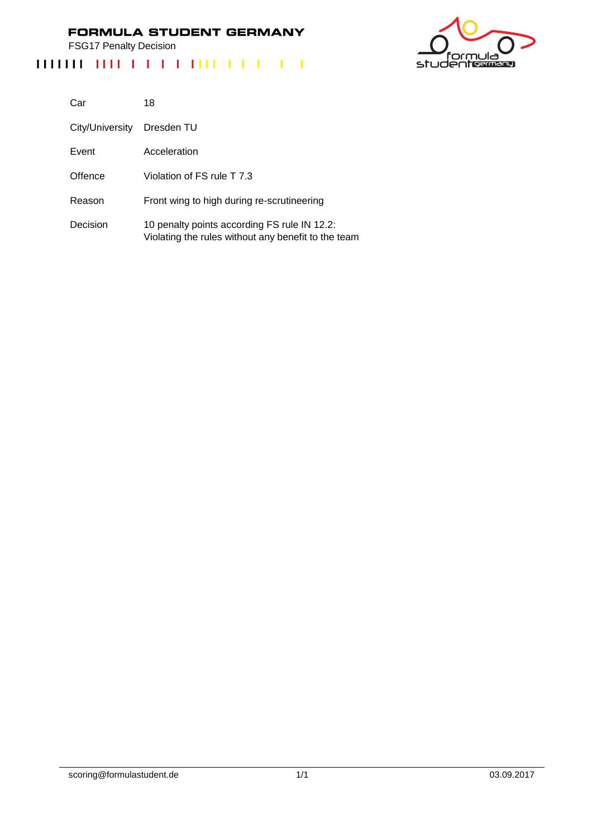FSG17 Penalty Decision



| Car             | 18                                                                                                  |
|-----------------|-----------------------------------------------------------------------------------------------------|
| City/University | Dresden TU                                                                                          |
| Event           | Acceleration                                                                                        |
| Offence         | Violation of FS rule T 7.3                                                                          |
| Reason          | Front wing to high during re-scrutineering                                                          |
| Decision        | 10 penalty points according FS rule IN 12.2:<br>Violating the rules without any benefit to the team |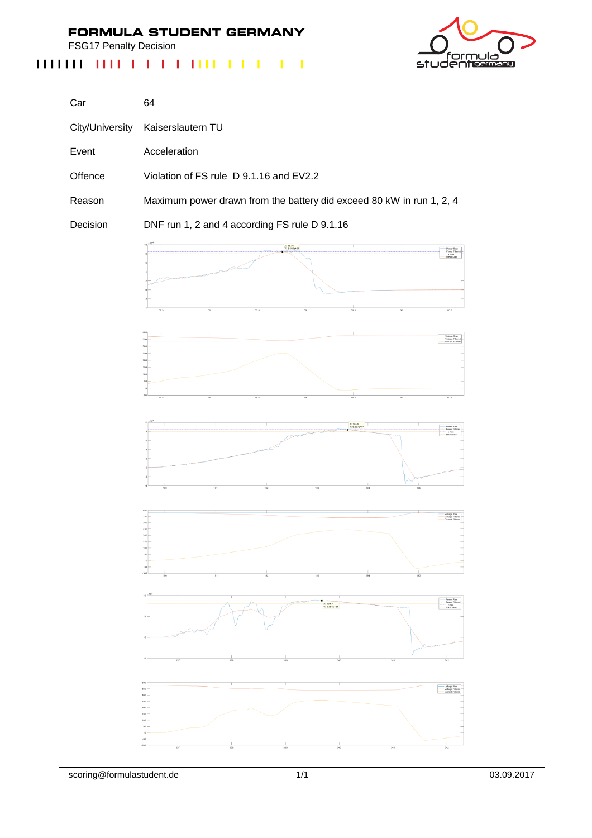FSG17 Penalty Decision



| Car      | 64                                                                   |
|----------|----------------------------------------------------------------------|
|          | City/University Kaiserslautern TU                                    |
| Event    | Acceleration                                                         |
| Offence  | Violation of FS rule D 9.1.16 and EV2.2                              |
| Reason   | Maximum power drawn from the battery did exceed 80 kW in run 1, 2, 4 |
| Decision | DNF run 1, 2 and 4 according FS rule D 9.1.16                        |
|          | $Y: R$ Alfan Ol<br>Power Raw<br>Power Filtered                       |

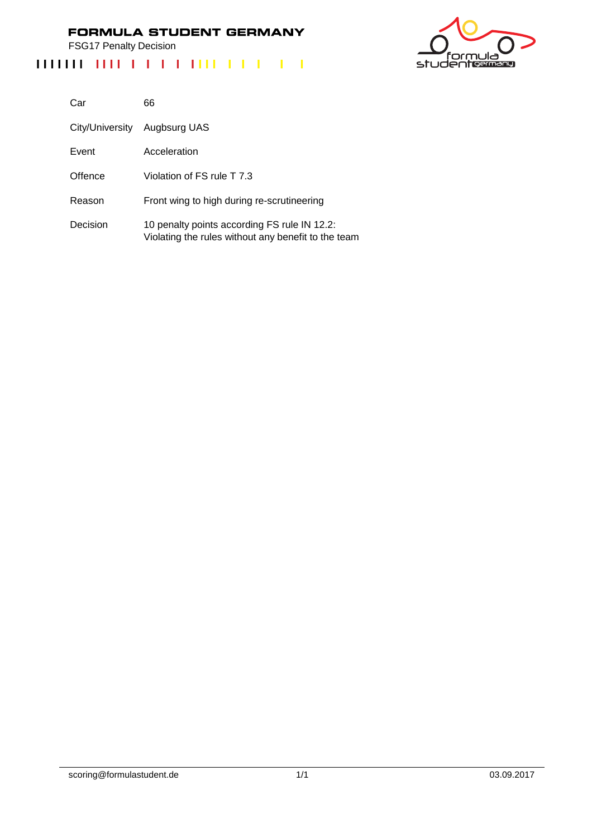FSG17 Penalty Decision

# <u>ت ار</u> nι studentermang

| Car             | 66                                                                                                  |
|-----------------|-----------------------------------------------------------------------------------------------------|
| City/University | Augbsurg UAS                                                                                        |
| Event           | Acceleration                                                                                        |
| Offence         | Violation of FS rule T 7.3                                                                          |
| Reason          | Front wing to high during re-scrutineering                                                          |
| Decision        | 10 penalty points according FS rule IN 12.2:<br>Violating the rules without any benefit to the team |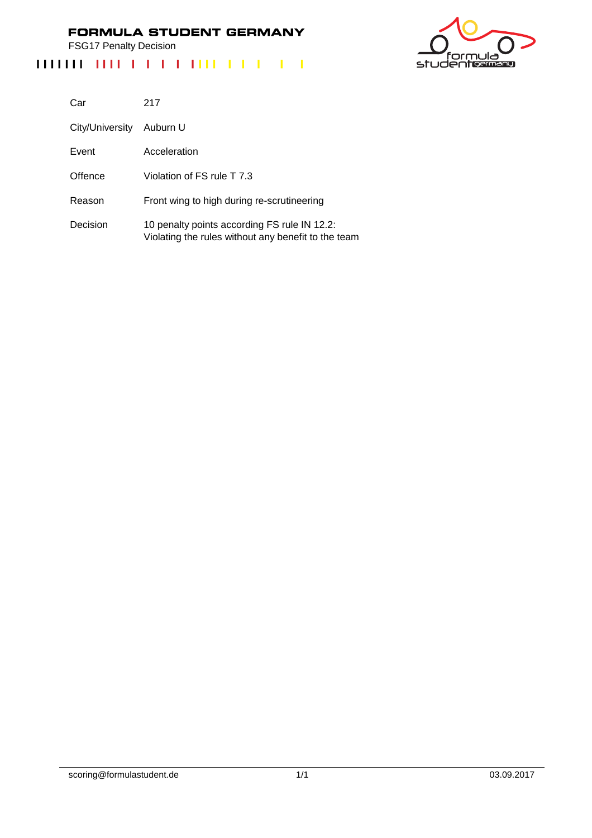FSG17 Penalty Decision

# 'nι ەار studentermang

| Car             | 217                                                                                                 |
|-----------------|-----------------------------------------------------------------------------------------------------|
| City/University | Auburn U                                                                                            |
| Event           | Acceleration                                                                                        |
| Offence         | Violation of FS rule T 7.3                                                                          |
| Reason          | Front wing to high during re-scrutineering                                                          |
| Decision        | 10 penalty points according FS rule IN 12.2:<br>Violating the rules without any benefit to the team |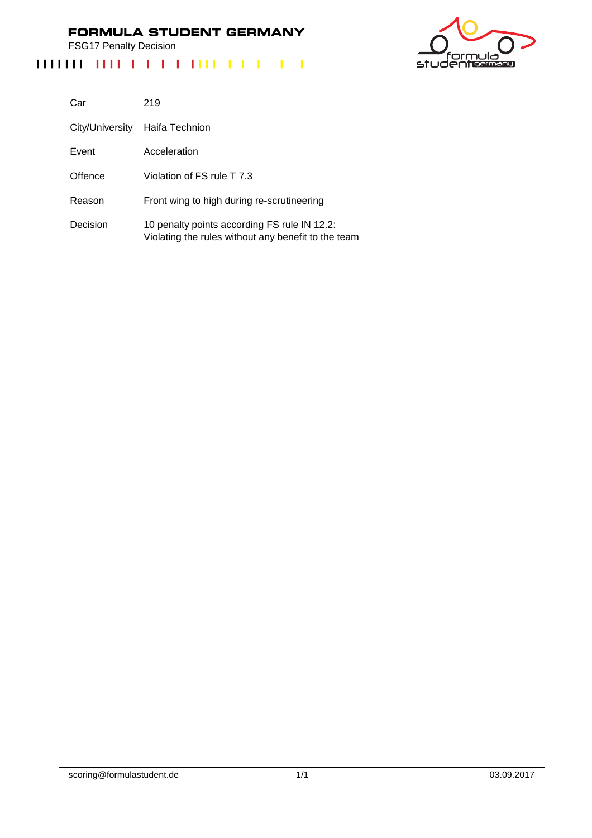FSG17 Penalty Decision



| Car             | 219                                                                                                 |
|-----------------|-----------------------------------------------------------------------------------------------------|
| City/University | Haifa Technion                                                                                      |
| Event           | Acceleration                                                                                        |
| Offence         | Violation of FS rule T 7.3                                                                          |
| Reason          | Front wing to high during re-scrutineering                                                          |
| Decision        | 10 penalty points according FS rule IN 12.2:<br>Violating the rules without any benefit to the team |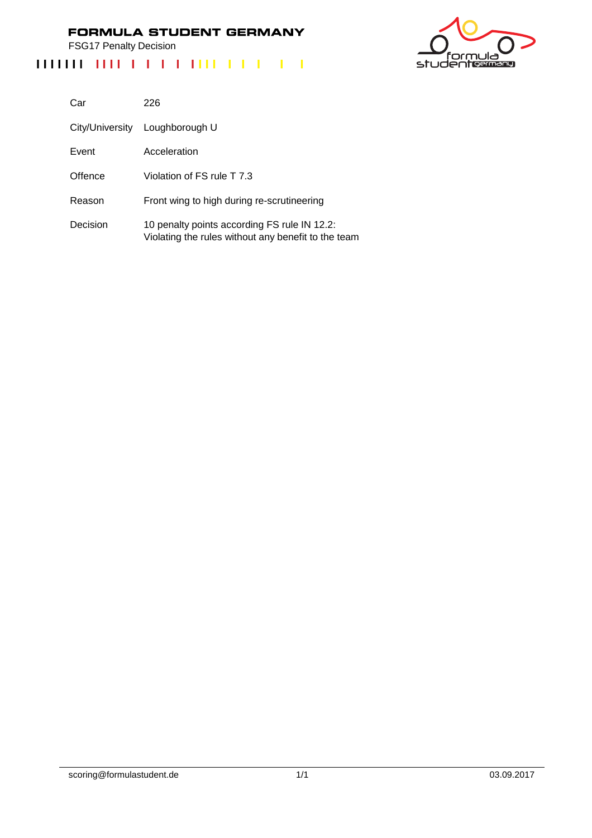FSG17 Penalty Decision



| Car             | 226                                                                                                 |
|-----------------|-----------------------------------------------------------------------------------------------------|
| City/University | Loughborough U                                                                                      |
| Event           | Acceleration                                                                                        |
| Offence         | Violation of FS rule T 7.3                                                                          |
| Reason          | Front wing to high during re-scrutineering                                                          |
| Decision        | 10 penalty points according FS rule IN 12.2:<br>Violating the rules without any benefit to the team |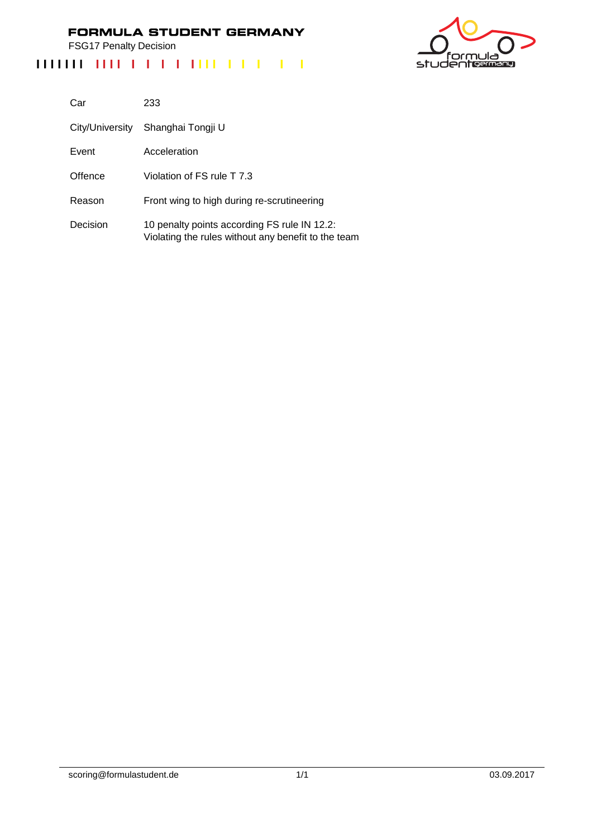FSG17 Penalty Decision



| Car             | 233                                                                                                 |
|-----------------|-----------------------------------------------------------------------------------------------------|
| City/University | Shanghai Tongji U                                                                                   |
| Event           | Acceleration                                                                                        |
| Offence         | Violation of FS rule T 7.3                                                                          |
| Reason          | Front wing to high during re-scrutineering                                                          |
| Decision        | 10 penalty points according FS rule IN 12.2:<br>Violating the rules without any benefit to the team |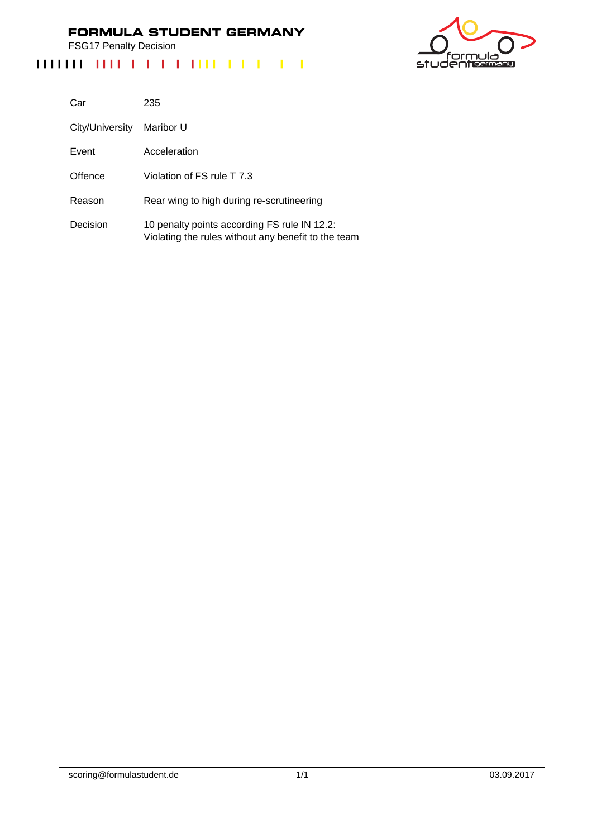FSG17 Penalty Decision

# ەار nι studentermang

| Car             | 235                                                                                                 |
|-----------------|-----------------------------------------------------------------------------------------------------|
| City/University | Maribor U                                                                                           |
| Event           | Acceleration                                                                                        |
| Offence         | Violation of FS rule T 7.3                                                                          |
| Reason          | Rear wing to high during re-scrutineering                                                           |
| Decision        | 10 penalty points according FS rule IN 12.2:<br>Violating the rules without any benefit to the team |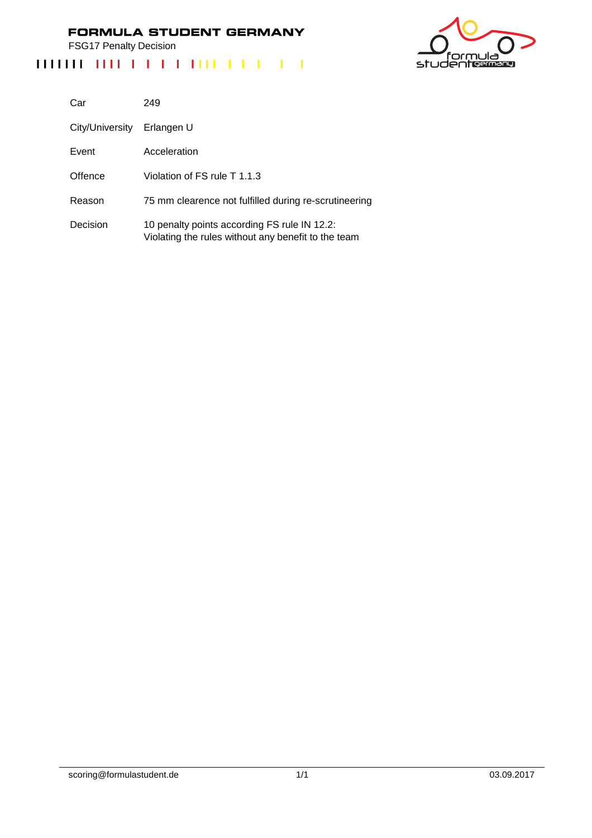FSG17 Penalty Decision

# <u>ت ار</u> nı studentermang

| Car             | 249                                                                                                 |
|-----------------|-----------------------------------------------------------------------------------------------------|
| City/University | Erlangen U                                                                                          |
| Event           | Acceleration                                                                                        |
| Offence         | Violation of FS rule T 1.1.3                                                                        |
| Reason          | 75 mm clearence not fulfilled during re-scrutineering                                               |
| Decision        | 10 penalty points according FS rule IN 12.2:<br>Violating the rules without any benefit to the team |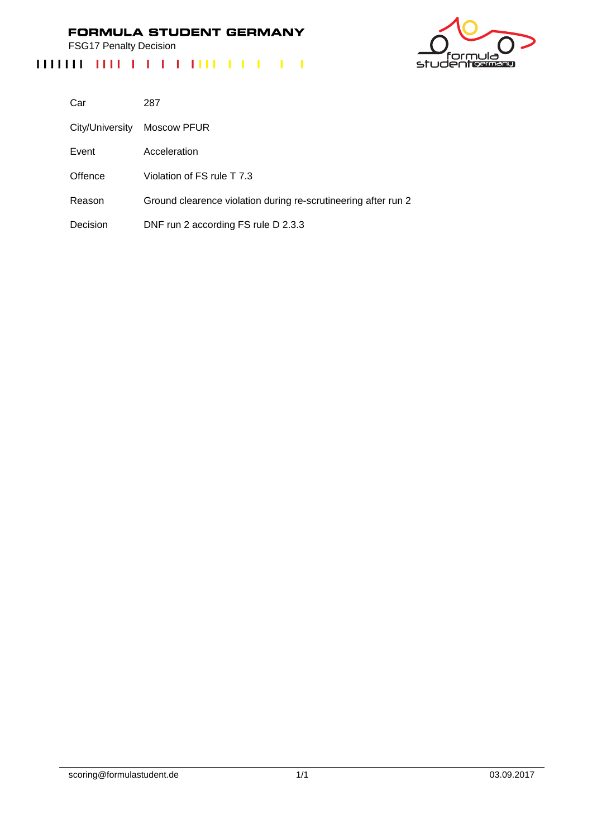FSG17 Penalty Decision

# ەار nı studentermang

| Car             | 287                                                            |
|-----------------|----------------------------------------------------------------|
| City/University | Moscow PFUR                                                    |
| Event           | Acceleration                                                   |
| Offence         | Violation of FS rule T 7.3                                     |
| Reason          | Ground clearence violation during re-scrutineering after run 2 |
| Decision        | DNF run 2 according FS rule D 2.3.3                            |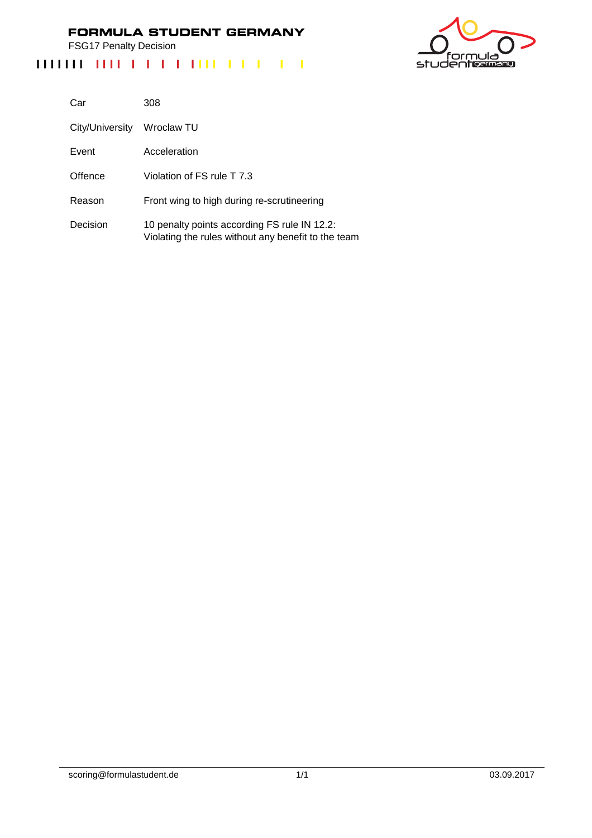FSG17 Penalty Decision

# <u>ت ار</u> nı studentermang

| Car             | 308                                                                                                 |
|-----------------|-----------------------------------------------------------------------------------------------------|
| City/University | Wroclaw TU                                                                                          |
| Event           | Acceleration                                                                                        |
| Offence         | Violation of FS rule T 7.3                                                                          |
| Reason          | Front wing to high during re-scrutineering                                                          |
| Decision        | 10 penalty points according FS rule IN 12.2:<br>Violating the rules without any benefit to the team |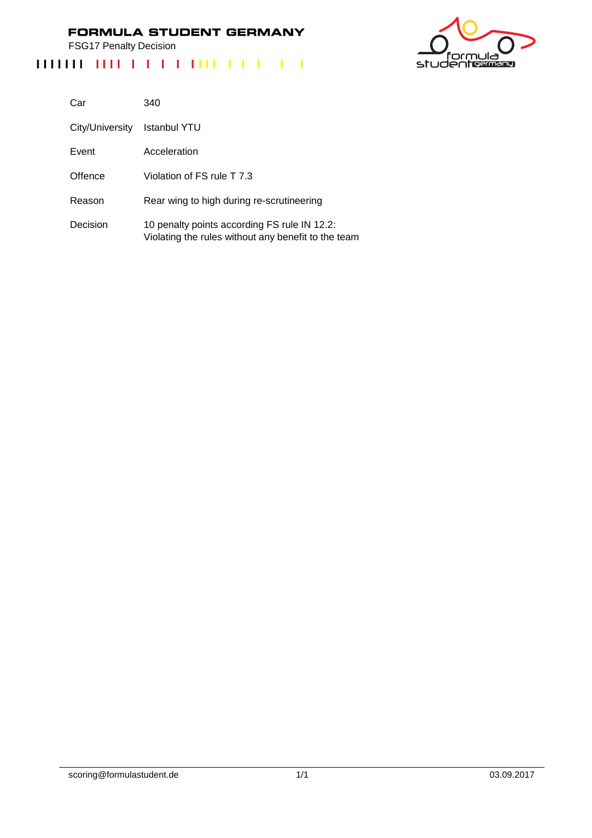FSG17 Penalty Decision

# <u>ت ار</u> nı studentermang

| Car             | 340                                                                                                 |
|-----------------|-----------------------------------------------------------------------------------------------------|
| City/University | Istanbul YTU                                                                                        |
| Event           | Acceleration                                                                                        |
| Offence         | Violation of FS rule T 7.3                                                                          |
| Reason          | Rear wing to high during re-scrutineering                                                           |
| Decision        | 10 penalty points according FS rule IN 12.2:<br>Violating the rules without any benefit to the team |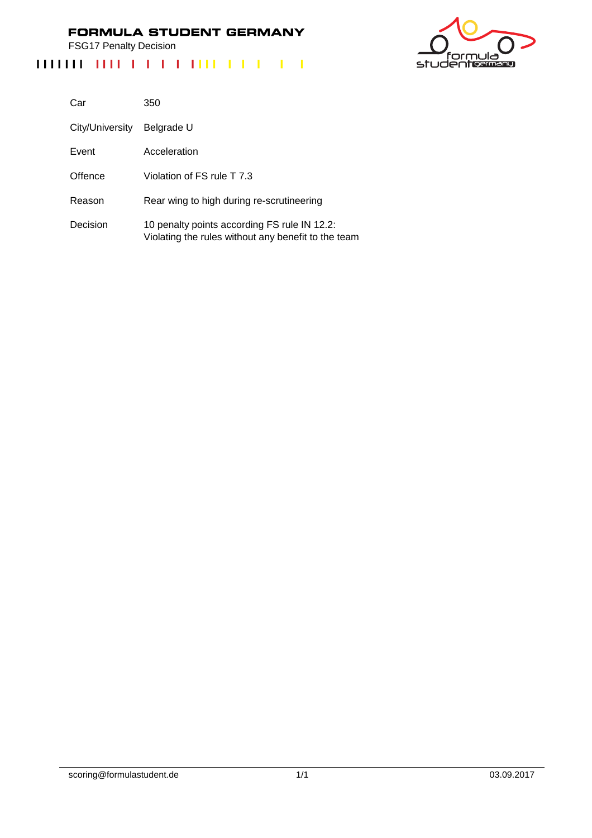FSG17 Penalty Decision

# ەار nı studentermang

| Car             | 350                                                                                                 |
|-----------------|-----------------------------------------------------------------------------------------------------|
| City/University | Belgrade U                                                                                          |
| Event           | Acceleration                                                                                        |
| Offence         | Violation of FS rule T 7.3                                                                          |
| Reason          | Rear wing to high during re-scrutineering                                                           |
| Decision        | 10 penalty points according FS rule IN 12.2:<br>Violating the rules without any benefit to the team |